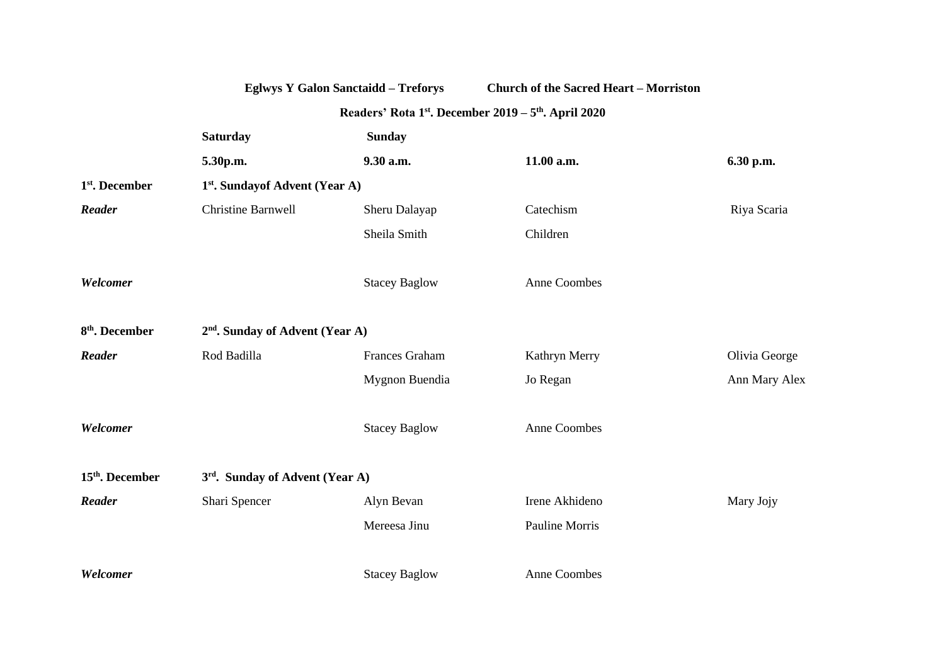|                             |                                             | <b>Eglwys Y Galon Sanctaidd - Treforys</b> | <b>Church of the Sacred Heart - Morriston</b> |               |  |
|-----------------------------|---------------------------------------------|--------------------------------------------|-----------------------------------------------|---------------|--|
|                             |                                             |                                            |                                               |               |  |
|                             | <b>Saturday</b>                             | <b>Sunday</b>                              |                                               |               |  |
|                             | 5.30p.m.                                    | 9.30 a.m.                                  | 11.00 a.m.                                    | 6.30 p.m.     |  |
| 1 <sup>st</sup> . December  | 1 <sup>st</sup> . Sundayof Advent (Year A)  |                                            |                                               |               |  |
| Reader                      | <b>Christine Barnwell</b>                   | Sheru Dalayap                              | Catechism                                     | Riya Scaria   |  |
|                             |                                             | Sheila Smith                               | Children                                      |               |  |
| Welcomer                    |                                             | <b>Stacey Baglow</b>                       | <b>Anne Coombes</b>                           |               |  |
| 8 <sup>th</sup> . December  | 2 <sup>nd</sup> . Sunday of Advent (Year A) |                                            |                                               |               |  |
| Reader                      | Rod Badilla                                 | Frances Graham                             | Kathryn Merry                                 | Olivia George |  |
|                             |                                             | Mygnon Buendia                             | Jo Regan                                      | Ann Mary Alex |  |
| Welcomer                    |                                             | <b>Stacey Baglow</b>                       | Anne Coombes                                  |               |  |
| 15 <sup>th</sup> . December | 3rd. Sunday of Advent (Year A)              |                                            |                                               |               |  |
| Reader                      | Shari Spencer                               | Alyn Bevan                                 | Irene Akhideno                                | Mary Jojy     |  |
|                             |                                             | Mereesa Jinu                               | Pauline Morris                                |               |  |
| Welcomer                    |                                             | <b>Stacey Baglow</b>                       | <b>Anne Coombes</b>                           |               |  |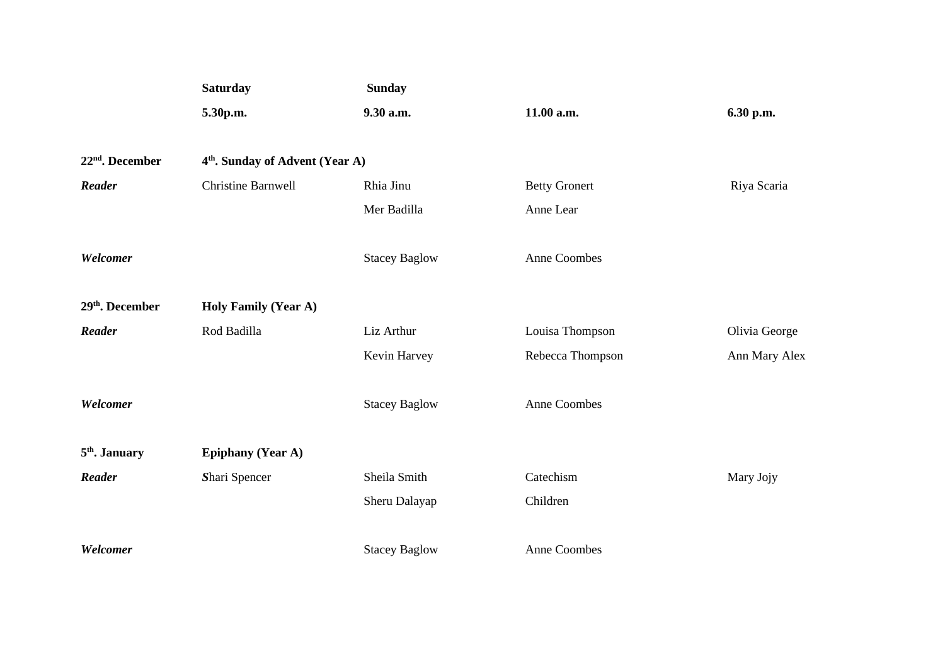|                             | <b>Saturday</b><br>5.30p.m.                 | <b>Sunday</b>        |                      |               |
|-----------------------------|---------------------------------------------|----------------------|----------------------|---------------|
|                             |                                             | 9.30 a.m.            | 11.00 a.m.           | 6.30 p.m.     |
| $22nd$ . December           | 4 <sup>th</sup> . Sunday of Advent (Year A) |                      |                      |               |
| Reader                      | <b>Christine Barnwell</b>                   | Rhia Jinu            | <b>Betty Gronert</b> | Riya Scaria   |
|                             |                                             | Mer Badilla          | Anne Lear            |               |
| Welcomer                    |                                             | <b>Stacey Baglow</b> | Anne Coombes         |               |
| 29 <sup>th</sup> . December | <b>Holy Family (Year A)</b>                 |                      |                      |               |
| Reader                      | Rod Badilla                                 | Liz Arthur           | Louisa Thompson      | Olivia George |
|                             |                                             | Kevin Harvey         | Rebecca Thompson     | Ann Mary Alex |
| Welcomer                    |                                             | <b>Stacey Baglow</b> | Anne Coombes         |               |
| 5 <sup>th</sup> . January   | <b>Epiphany (Year A)</b>                    |                      |                      |               |
| Reader                      | Shari Spencer                               | Sheila Smith         | Catechism            | Mary Jojy     |
|                             |                                             | Sheru Dalayap        | Children             |               |
| Welcomer                    |                                             | <b>Stacey Baglow</b> | Anne Coombes         |               |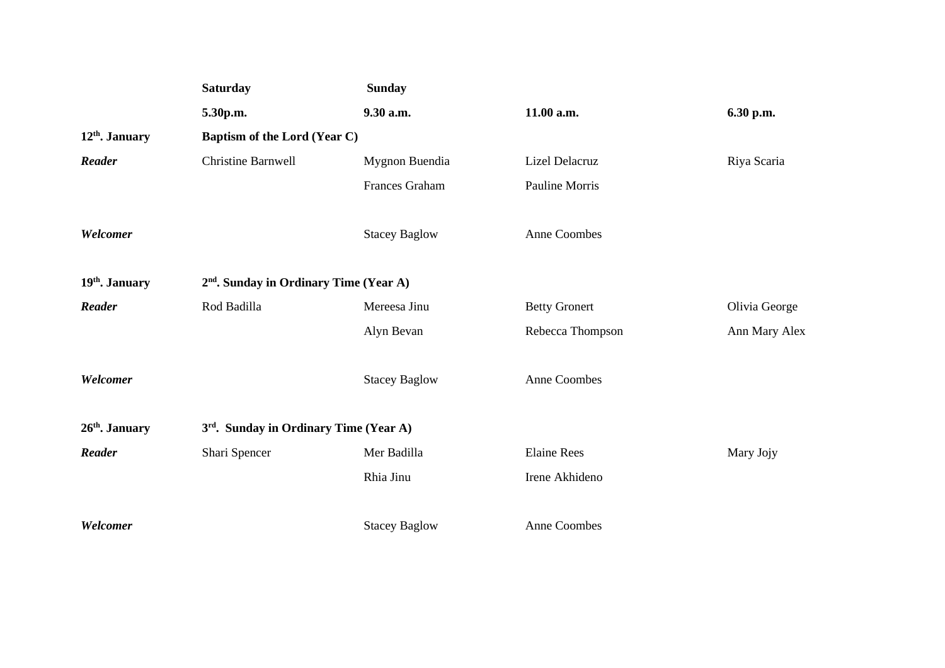|                            | <b>Saturday</b>                                    | <b>Sunday</b>        |                      |               |  |
|----------------------------|----------------------------------------------------|----------------------|----------------------|---------------|--|
|                            | 5.30p.m.                                           | 9.30 a.m.            | 11.00 a.m.           | 6.30 p.m.     |  |
| 12 <sup>th</sup> . January | <b>Baptism of the Lord (Year C)</b>                |                      |                      |               |  |
| Reader                     | <b>Christine Barnwell</b>                          | Mygnon Buendia       | Lizel Delacruz       | Riya Scaria   |  |
|                            |                                                    | Frances Graham       | Pauline Morris       |               |  |
| Welcomer                   |                                                    | <b>Stacey Baglow</b> | <b>Anne Coombes</b>  |               |  |
| 19 <sup>th</sup> . January | 2 <sup>nd</sup> . Sunday in Ordinary Time (Year A) |                      |                      |               |  |
| Reader                     | Rod Badilla                                        | Mereesa Jinu         | <b>Betty Gronert</b> | Olivia George |  |
|                            |                                                    | Alyn Bevan           | Rebecca Thompson     | Ann Mary Alex |  |
| Welcomer                   |                                                    | <b>Stacey Baglow</b> | <b>Anne Coombes</b>  |               |  |
| 26th. January              | 3 <sup>rd</sup> . Sunday in Ordinary Time (Year A) |                      |                      |               |  |
| <b>Reader</b>              | Shari Spencer                                      | Mer Badilla          | <b>Elaine Rees</b>   | Mary Jojy     |  |
|                            |                                                    | Rhia Jinu            | Irene Akhideno       |               |  |
| Welcomer                   |                                                    | <b>Stacey Baglow</b> | <b>Anne Coombes</b>  |               |  |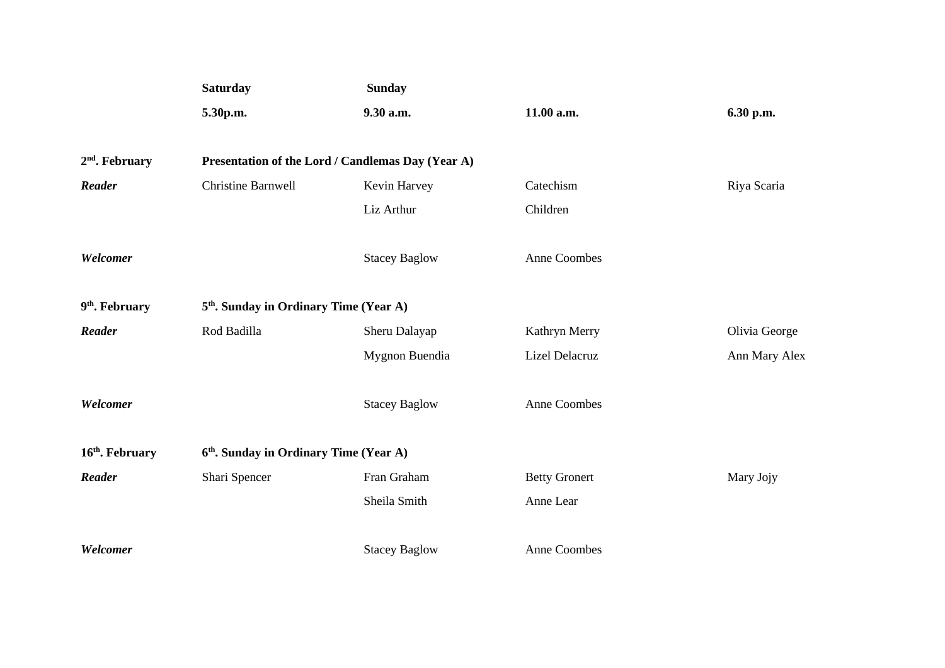|                             | Saturday                                           | <b>Sunday</b>        |                      |               |
|-----------------------------|----------------------------------------------------|----------------------|----------------------|---------------|
|                             | 5.30p.m.                                           | 9.30 a.m.            | 11.00 a.m.           | 6.30 p.m.     |
|                             |                                                    |                      |                      |               |
| $2nd$ . February            | Presentation of the Lord / Candlemas Day (Year A)  |                      |                      |               |
| Reader                      | <b>Christine Barnwell</b>                          | Kevin Harvey         | Catechism            | Riya Scaria   |
|                             |                                                    | Liz Arthur           | Children             |               |
| Welcomer                    |                                                    | <b>Stacey Baglow</b> | Anne Coombes         |               |
| 9 <sup>th</sup> . February  | 5 <sup>th</sup> . Sunday in Ordinary Time (Year A) |                      |                      |               |
| Reader                      | Rod Badilla                                        | Sheru Dalayap        | Kathryn Merry        | Olivia George |
|                             |                                                    | Mygnon Buendia       | Lizel Delacruz       | Ann Mary Alex |
| Welcomer                    |                                                    | <b>Stacey Baglow</b> | Anne Coombes         |               |
| 16 <sup>th</sup> . February | 6 <sup>th</sup> . Sunday in Ordinary Time (Year A) |                      |                      |               |
| Reader                      | Shari Spencer                                      | Fran Graham          | <b>Betty Gronert</b> | Mary Jojy     |
|                             |                                                    | Sheila Smith         | Anne Lear            |               |
| Welcomer                    |                                                    | <b>Stacey Baglow</b> | Anne Coombes         |               |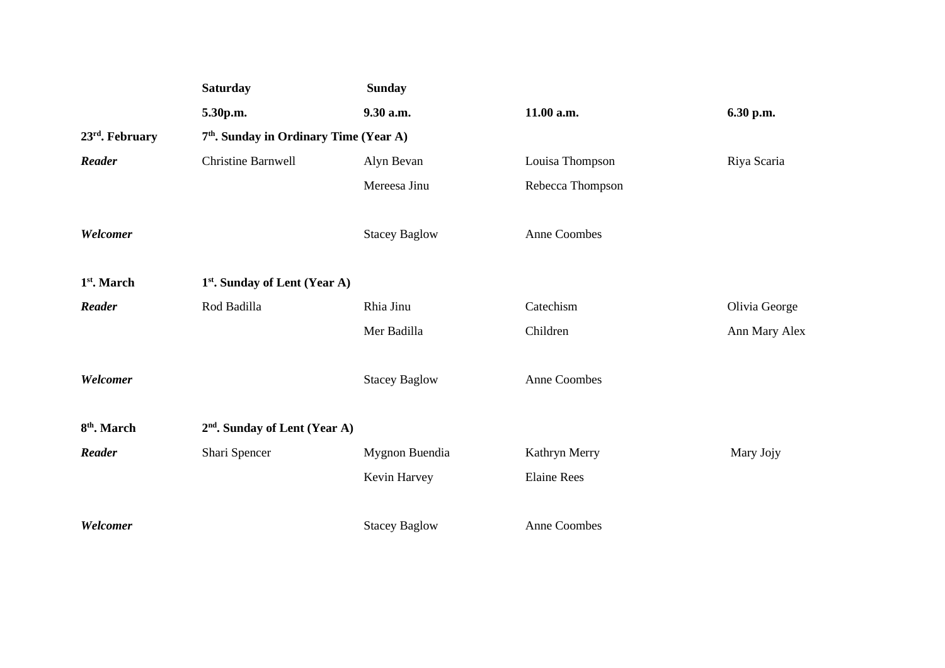|                             | <b>Saturday</b>                                    | <b>Sunday</b>        |                     |               |
|-----------------------------|----------------------------------------------------|----------------------|---------------------|---------------|
|                             | 5.30p.m.                                           | 9.30 a.m.            | 11.00 a.m.          | 6.30 p.m.     |
| 23 <sup>rd</sup> . February | 7 <sup>th</sup> . Sunday in Ordinary Time (Year A) |                      |                     |               |
| Reader                      | <b>Christine Barnwell</b>                          | Alyn Bevan           | Louisa Thompson     | Riya Scaria   |
|                             |                                                    | Mereesa Jinu         | Rebecca Thompson    |               |
| Welcomer                    |                                                    | <b>Stacey Baglow</b> | Anne Coombes        |               |
| 1 <sup>st</sup> . March     | $1st$ . Sunday of Lent (Year A)                    |                      |                     |               |
| Reader                      | Rod Badilla                                        | Rhia Jinu            | Catechism           | Olivia George |
|                             |                                                    | Mer Badilla          | Children            | Ann Mary Alex |
| Welcomer                    |                                                    | <b>Stacey Baglow</b> | Anne Coombes        |               |
| 8 <sup>th</sup> . March     | 2 <sup>nd</sup> . Sunday of Lent (Year A)          |                      |                     |               |
| Reader                      | Shari Spencer                                      | Mygnon Buendia       | Kathryn Merry       | Mary Jojy     |
|                             |                                                    | Kevin Harvey         | <b>Elaine Rees</b>  |               |
| Welcomer                    |                                                    | <b>Stacey Baglow</b> | <b>Anne Coombes</b> |               |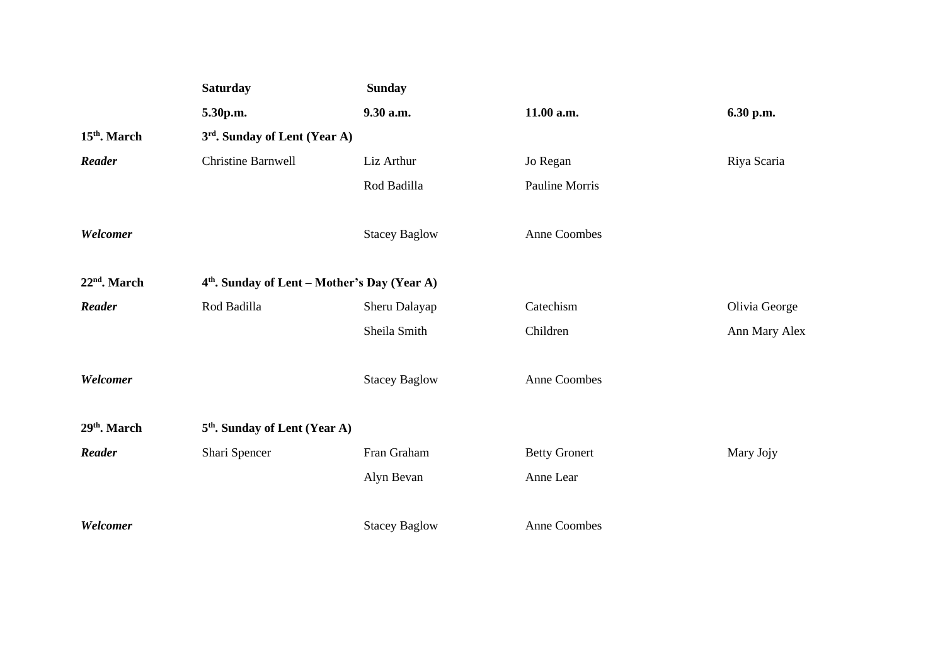|                          | <b>Saturday</b>                                          | <b>Sunday</b>        |                      |               |  |
|--------------------------|----------------------------------------------------------|----------------------|----------------------|---------------|--|
|                          | 5.30p.m.                                                 | 9.30 a.m.            | 11.00 a.m.           | 6.30 p.m.     |  |
| 15 <sup>th</sup> . March | 3rd. Sunday of Lent (Year A)                             |                      |                      |               |  |
| Reader                   | <b>Christine Barnwell</b>                                | Liz Arthur           | Jo Regan             | Riya Scaria   |  |
|                          |                                                          | Rod Badilla          | Pauline Morris       |               |  |
| Welcomer                 |                                                          | <b>Stacey Baglow</b> | Anne Coombes         |               |  |
| $22nd$ . March           | 4 <sup>th</sup> . Sunday of Lent - Mother's Day (Year A) |                      |                      |               |  |
| Reader                   | Rod Badilla                                              | Sheru Dalayap        | Catechism            | Olivia George |  |
|                          |                                                          | Sheila Smith         | Children             | Ann Mary Alex |  |
| Welcomer                 |                                                          | <b>Stacey Baglow</b> | Anne Coombes         |               |  |
| 29 <sup>th</sup> . March | 5 <sup>th</sup> . Sunday of Lent (Year A)                |                      |                      |               |  |
| Reader                   | Shari Spencer                                            | Fran Graham          | <b>Betty Gronert</b> | Mary Jojy     |  |
|                          |                                                          | Alyn Bevan           | Anne Lear            |               |  |
| Welcomer                 |                                                          | <b>Stacey Baglow</b> | <b>Anne Coombes</b>  |               |  |